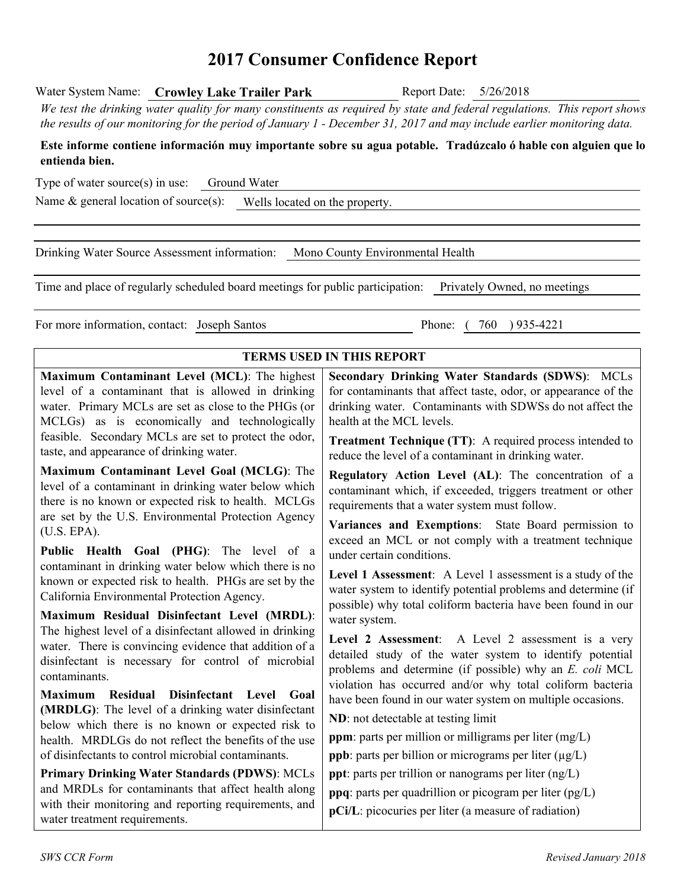# **2017 Consumer Confidence Report**

We test the drinking water quality for many constituents as required by state and federal regulations. This report shows the results of our monitoring for the period of January 1 - December 31, 2017 and may include earlier monitoring data.

Water System Name: **Crowley Lake Trailer Park** Report Date: 5/26/2018

| entienda bien.                                                                                                                                                                                                                                                                                                   | Este informe contiene información muy importante sobre su agua potable. Tradúzcalo ó hable con alguien que lo                                                                                                                                                                                                                          |
|------------------------------------------------------------------------------------------------------------------------------------------------------------------------------------------------------------------------------------------------------------------------------------------------------------------|----------------------------------------------------------------------------------------------------------------------------------------------------------------------------------------------------------------------------------------------------------------------------------------------------------------------------------------|
| Type of water source(s) in use:<br>Ground Water                                                                                                                                                                                                                                                                  |                                                                                                                                                                                                                                                                                                                                        |
| Name $\&$ general location of source(s): Wells located on the property.                                                                                                                                                                                                                                          |                                                                                                                                                                                                                                                                                                                                        |
| Drinking Water Source Assessment information: Mono County Environmental Health                                                                                                                                                                                                                                   |                                                                                                                                                                                                                                                                                                                                        |
| Time and place of regularly scheduled board meetings for public participation: Privately Owned, no meetings                                                                                                                                                                                                      |                                                                                                                                                                                                                                                                                                                                        |
| For more information, contact: Joseph Santos                                                                                                                                                                                                                                                                     | Phone: (760) 935-4221                                                                                                                                                                                                                                                                                                                  |
|                                                                                                                                                                                                                                                                                                                  | <b>TERMS USED IN THIS REPORT</b>                                                                                                                                                                                                                                                                                                       |
| Maximum Contaminant Level (MCL): The highest<br>level of a contaminant that is allowed in drinking<br>water. Primary MCLs are set as close to the PHGs (or<br>MCLGs) as is economically and technologically<br>feasible. Secondary MCLs are set to protect the odor,<br>taste, and appearance of drinking water. | Secondary Drinking Water Standards (SDWS): MCLs<br>for contaminants that affect taste, odor, or appearance of the<br>drinking water. Contaminants with SDWSs do not affect the<br>health at the MCL levels.<br><b>Treatment Technique (TT):</b> A required process intended to<br>reduce the level of a contaminant in drinking water. |
| Maximum Contaminant Level Goal (MCLG): The<br>level of a contaminant in drinking water below which<br>there is no known or expected risk to health. MCLGs<br>are set by the U.S. Environmental Protection Agency<br>(U.S. EPA).                                                                                  | Regulatory Action Level (AL): The concentration of a<br>contaminant which, if exceeded, triggers treatment or other<br>requirements that a water system must follow.<br>Variances and Exemptions: State Board permission to                                                                                                            |
| Public Health Goal (PHG): The level of a<br>contaminant in drinking water below which there is no<br>known or expected risk to health. PHGs are set by the<br>California Environmental Protection Agency.<br>Maximum Residual Disinfectant Level (MRDL):                                                         | exceed an MCL or not comply with a treatment technique<br>under certain conditions.<br>Level 1 Assessment: A Level 1 assessment is a study of the<br>water system to identify potential problems and determine (if<br>possible) why total coliform bacteria have been found in our                                                     |
| The highest level of a disinfectant allowed in drinking<br>water. There is convincing evidence that addition of a<br>disinfectant is necessary for control of microbial<br>contaminants.                                                                                                                         | water system.<br>Level 2 Assessment: A Level 2 assessment is a very<br>detailed study of the water system to identify potential<br>problems and determine (if possible) why an E. coli MCL<br>violation has occurred and/or why total coliform bacteria                                                                                |
| <b>Maximum</b><br><b>Residual</b><br>Disinfectant Level Goal<br>(MRDLG): The level of a drinking water disinfectant<br>below which there is no known or expected risk to<br>health. MRDLGs do not reflect the benefits of the use<br>of disinfectants to control microbial contaminants.                         | have been found in our water system on multiple occasions.<br>ND: not detectable at testing limit<br><b>ppm</b> : parts per million or milligrams per liter (mg/L)<br><b>ppb</b> : parts per billion or micrograms per liter $(\mu g/L)$                                                                                               |
| <b>Primary Drinking Water Standards (PDWS): MCLs</b><br>and MRDLs for contaminants that affect health along<br>with their monitoring and reporting requirements, and<br>water treatment requirements.                                                                                                            | ppt: parts per trillion or nanograms per liter (ng/L)<br>ppq: parts per quadrillion or picogram per liter (pg/L)<br>pCi/L: picocuries per liter (a measure of radiation)                                                                                                                                                               |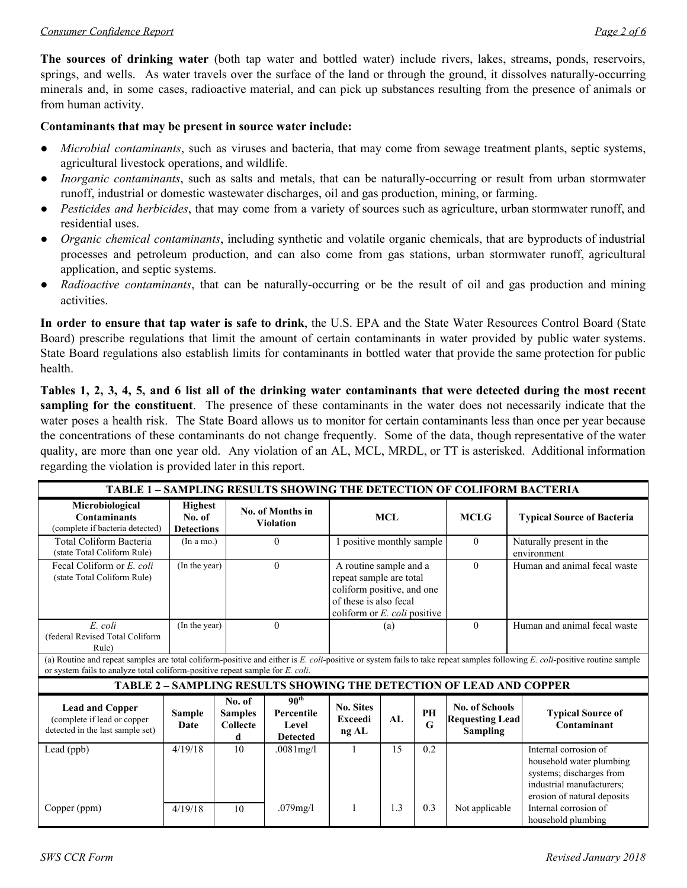#### *Consumer Confidence Report Page 2 of 6*

**The sources of drinking water** (both tap water and bottled water) include rivers, lakes, streams, ponds, reservoirs, springs, and wells. As water travels over the surface of the land or through the ground, it dissolves naturally-occurring minerals and, in some cases, radioactive material, and can pick up substances resulting from the presence of animals or from human activity.

### **Contaminants that may be present in source water include:**

- *Microbial contaminants*, such as viruses and bacteria, that may come from sewage treatment plants, septic systems, agricultural livestock operations, and wildlife.
- *Inorganic contaminants*, such as salts and metals, that can be naturally-occurring or result from urban stormwater runoff, industrial or domestic wastewater discharges, oil and gas production, mining, or farming.
- *Pesticides and herbicides*, that may come from a variety of sources such as agriculture, urban stormwater runoff, and residential uses.
- *Organic chemical contaminants*, including synthetic and volatile organic chemicals, that are byproducts of industrial processes and petroleum production, and can also come from gas stations, urban stormwater runoff, agricultural application, and septic systems.
- *Radioactive contaminants*, that can be naturally-occurring or be the result of oil and gas production and mining activities.

**In order to ensure that tap water is safe to drink**, the U.S. EPA and the State Water Resources Control Board (State Board) prescribe regulations that limit the amount of certain contaminants in water provided by public water systems. State Board regulations also establish limits for contaminants in bottled water that provide the same protection for public health.

Tables 1, 2, 3, 4, 5, and 6 list all of the drinking water contaminants that were detected during the most recent **sampling** for the constituent. The presence of these contaminants in the water does not necessarily indicate that the water poses a health risk. The State Board allows us to monitor for certain contaminants less than once per year because the concentrations of these contaminants do not change frequently. Some of the data, though representative of the water quality, are more than one year old. Any violation of an AL, MCL, MRDL, or TT is asterisked. Additional information regarding the violation is provided later in this report.

| <b>TABLE 1 - SAMPLING RESULTS SHOWING THE DETECTION OF COLIFORM BACTERIA</b>              |                                               |                                                  |                                                                                                                                                                                                  |     |                                                                                                                                                       |          |                                                                            |                                                                                                                                                                            |
|-------------------------------------------------------------------------------------------|-----------------------------------------------|--------------------------------------------------|--------------------------------------------------------------------------------------------------------------------------------------------------------------------------------------------------|-----|-------------------------------------------------------------------------------------------------------------------------------------------------------|----------|----------------------------------------------------------------------------|----------------------------------------------------------------------------------------------------------------------------------------------------------------------------|
| Microbiological<br><b>Contaminants</b><br>(complete if bacteria detected)                 | <b>Highest</b><br>No. of<br><b>Detections</b> |                                                  | No. of Months in<br><b>Violation</b>                                                                                                                                                             |     | <b>MCL</b>                                                                                                                                            |          | <b>MCLG</b>                                                                | <b>Typical Source of Bacteria</b>                                                                                                                                          |
| Total Coliform Bacteria<br>(state Total Coliform Rule)                                    | (In a mo.)                                    |                                                  | $\theta$                                                                                                                                                                                         |     | 1 positive monthly sample                                                                                                                             |          | $\mathbf{0}$                                                               | Naturally present in the<br>environment                                                                                                                                    |
| Fecal Coliform or E. coli<br>(state Total Coliform Rule)                                  | (In the year)                                 |                                                  | $\theta$                                                                                                                                                                                         |     | $\theta$<br>A routine sample and a<br>repeat sample are total<br>coliform positive, and one<br>of these is also fecal<br>coliform or E. coli positive |          |                                                                            | Human and animal fecal waste                                                                                                                                               |
| E. coli<br>(federal Revised Total Coliform<br>Rule)                                       | (In the year)                                 |                                                  | $\theta$                                                                                                                                                                                         | (a) |                                                                                                                                                       | $\theta$ | Human and animal fecal waste                                               |                                                                                                                                                                            |
| or system fails to analyze total coliform-positive repeat sample for E. coli.             |                                               |                                                  |                                                                                                                                                                                                  |     |                                                                                                                                                       |          |                                                                            | (a) Routine and repeat samples are total coliform-positive and either is E. coli-positive or system fails to take repeat samples following E. coli-positive routine sample |
|                                                                                           |                                               |                                                  |                                                                                                                                                                                                  |     |                                                                                                                                                       |          | <b>TABLE 2 - SAMPLING RESULTS SHOWING THE DETECTION OF LEAD AND COPPER</b> |                                                                                                                                                                            |
| <b>Lead and Copper</b><br>(complete if lead or copper<br>detected in the last sample set) | <b>Sample</b><br>Date                         | No. of<br><b>Samples</b><br><b>Collecte</b><br>d | 90 <sup>th</sup><br><b>No. Sites</b><br><b>No. of Schools</b><br>PH<br>Percentile<br>AI<br><b>Exceedi</b><br><b>Requesting Lead</b><br>G<br>Level<br><b>Sampling</b><br>ng AL<br><b>Detected</b> |     |                                                                                                                                                       |          | <b>Typical Source of</b><br>Contaminant                                    |                                                                                                                                                                            |
| Lead (ppb)                                                                                | 4/19/18                                       | 10                                               | .0081mg/l                                                                                                                                                                                        |     | 15                                                                                                                                                    | 0.2      |                                                                            | Internal corrosion of<br>household water plumbing<br>systems; discharges from<br>industrial manufacturers;<br>erosion of natural deposits                                  |
| Copper (ppm)                                                                              | 4/19/18                                       | 10                                               | .079mg/l                                                                                                                                                                                         |     | 1.3                                                                                                                                                   | 0.3      | Not applicable                                                             | Internal corrosion of<br>household plumbing                                                                                                                                |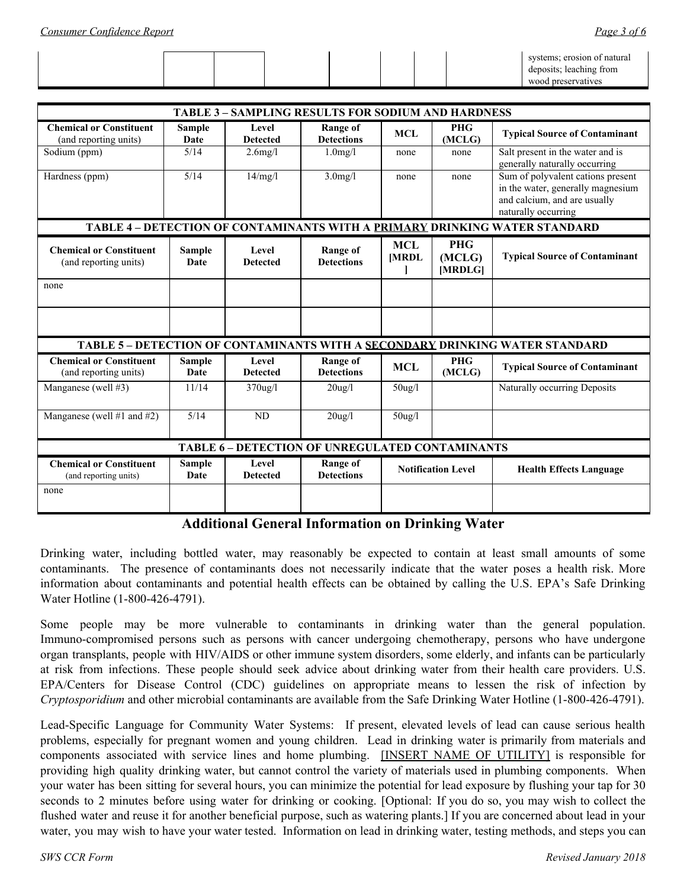| <b>TABLE 3 - SAMPLING RESULTS FOR SODIUM AND HARDNESS</b> |                       |                          |                                      |                           |                                 |                                                                                                                               |  |
|-----------------------------------------------------------|-----------------------|--------------------------|--------------------------------------|---------------------------|---------------------------------|-------------------------------------------------------------------------------------------------------------------------------|--|
| <b>Chemical or Constituent</b><br>(and reporting units)   | <b>Sample</b><br>Date | Level<br><b>Detected</b> | <b>Range of</b><br><b>Detections</b> | <b>MCL</b>                | <b>PHG</b><br>(MCLG)            | <b>Typical Source of Contaminant</b>                                                                                          |  |
| Sodium (ppm)                                              | 5/14                  | $2.6$ mg/l               | $1.0$ mg/l                           | none                      | none                            | Salt present in the water and is<br>generally naturally occurring                                                             |  |
| Hardness (ppm)                                            | 5/14                  | 14/mg/l                  | $3.0$ mg/l                           | none                      | none                            | Sum of polyvalent cations present<br>in the water, generally magnesium<br>and calcium, and are usually<br>naturally occurring |  |
|                                                           |                       |                          |                                      |                           |                                 | TABLE 4 - DETECTION OF CONTAMINANTS WITH A PRIMARY DRINKING WATER STANDARD                                                    |  |
| <b>Chemical or Constituent</b><br>(and reporting units)   | <b>Sample</b><br>Date | Level<br><b>Detected</b> | <b>Range of</b><br><b>Detections</b> | <b>MCL</b><br>[MRDL       | <b>PHG</b><br>(MCLG)<br>[MRDLG] | <b>Typical Source of Contaminant</b>                                                                                          |  |
| none                                                      |                       |                          |                                      |                           |                                 |                                                                                                                               |  |
|                                                           |                       |                          |                                      |                           |                                 |                                                                                                                               |  |
|                                                           |                       |                          |                                      |                           |                                 | TABLE 5 - DETECTION OF CONTAMINANTS WITH A SECONDARY DRINKING WATER STANDARD                                                  |  |
| <b>Chemical or Constituent</b><br>(and reporting units)   | Sample<br>Date        | Level<br><b>Detected</b> | Range of<br><b>Detections</b>        | <b>MCL</b>                | <b>PHG</b><br>(MCLG)            | <b>Typical Source of Contaminant</b>                                                                                          |  |
| Manganese (well #3)                                       | 11/14                 | $370$ ug/l               | $20$ ug/l                            | $50$ ug/l                 |                                 | Naturally occurring Deposits                                                                                                  |  |
| Manganese (well #1 and #2)                                | 5/14                  | ND                       | $20$ ug/l                            | $50$ ug/l                 |                                 |                                                                                                                               |  |
| <b>TABLE 6 - DETECTION OF UNREGULATED CONTAMINANTS</b>    |                       |                          |                                      |                           |                                 |                                                                                                                               |  |
| <b>Chemical or Constituent</b><br>(and reporting units)   | Sample<br>Date        | Level<br><b>Detected</b> | <b>Range of</b><br><b>Detections</b> | <b>Notification Level</b> |                                 | <b>Health Effects Language</b>                                                                                                |  |
| none                                                      |                       |                          |                                      |                           |                                 |                                                                                                                               |  |

**Additional General Information on Drinking Water**

Drinking water, including bottled water, may reasonably be expected to contain at least small amounts of some contaminants. The presence of contaminants does not necessarily indicate that the water poses a health risk. More information about contaminants and potential health effects can be obtained by calling the U.S. EPA's Safe Drinking Water Hotline (1-800-426-4791).

Some people may be more vulnerable to contaminants in drinking water than the general population. Immuno-compromised persons such as persons with cancer undergoing chemotherapy, persons who have undergone organ transplants, people with HIV/AIDS or other immune system disorders, some elderly, and infants can be particularly at risk from infections. These people should seek advice about drinking water from their health care providers. U.S. EPA/Centers for Disease Control (CDC) guidelines on appropriate means to lessen the risk of infection by *Cryptosporidium* and other microbial contaminants are available from the Safe Drinking Water Hotline (1-800-426-4791).

Lead-Specific Language for Community Water Systems: If present, elevated levels of lead can cause serious health problems, especially for pregnant women and young children. Lead in drinking water is primarily from materials and components associated with service lines and home plumbing. [INSERT NAME OF UTILITY] is responsible for providing high quality drinking water, but cannot control the variety of materials used in plumbing components. When your water has been sitting for several hours, you can minimize the potential for lead exposure by flushing your tap for 30 seconds to 2 minutes before using water for drinking or cooking. [Optional: If you do so, you may wish to collect the flushed water and reuse it for another beneficial purpose, such as watering plants.] If you are concerned about lead in your water, you may wish to have your water tested. Information on lead in drinking water, testing methods, and steps you can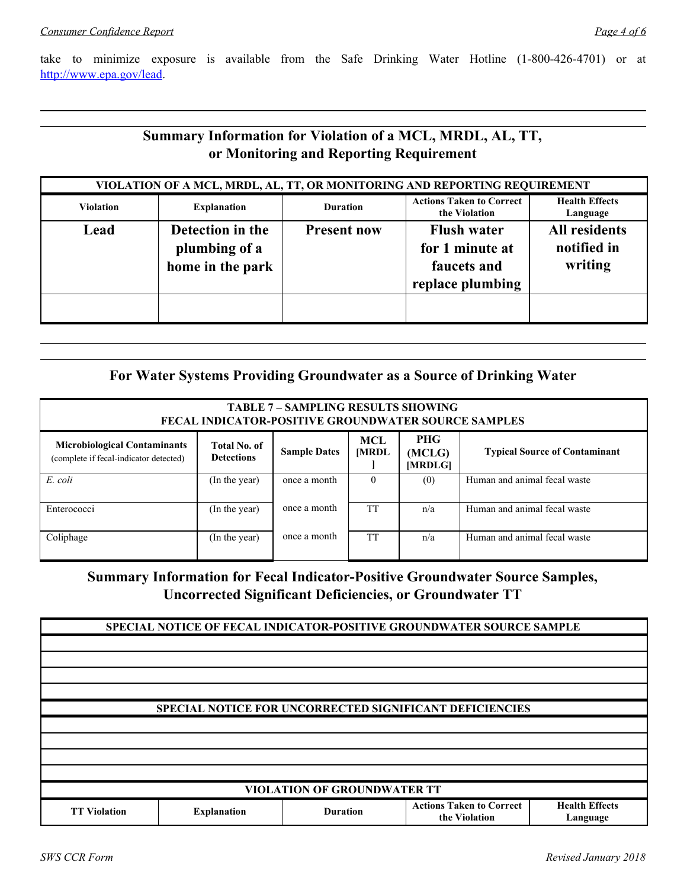take to minimize exposure is available from the Safe Drinking Water Hotline (1-800-426-4701) or at [http://www.epa.gov/lead.](http://www.epa.gov/lead)

## **Summary Information for Violation of a MCL, MRDL, AL, TT, or Monitoring and Reporting Requirement**

| VIOLATION OF A MCL, MRDL, AL, TT, OR MONITORING AND REPORTING REQUIREMENT |                                                       |                    |                                                                          |                                                |  |  |
|---------------------------------------------------------------------------|-------------------------------------------------------|--------------------|--------------------------------------------------------------------------|------------------------------------------------|--|--|
| <b>Violation</b>                                                          | <b>Explanation</b>                                    | <b>Duration</b>    | <b>Actions Taken to Correct</b><br>the Violation                         | <b>Health Effects</b><br>Language              |  |  |
| Lead                                                                      | Detection in the<br>plumbing of a<br>home in the park | <b>Present now</b> | <b>Flush water</b><br>for 1 minute at<br>faucets and<br>replace plumbing | <b>All residents</b><br>notified in<br>writing |  |  |
|                                                                           |                                                       |                    |                                                                          |                                                |  |  |

## **For Water Systems Providing Groundwater as a Source of Drinking Water**

| <b>TABLE 7 - SAMPLING RESULTS SHOWING</b><br><b>FECAL INDICATOR-POSITIVE GROUNDWATER SOURCE SAMPLES</b>                                                                                                                                    |               |              |           |     |                              |  |  |
|--------------------------------------------------------------------------------------------------------------------------------------------------------------------------------------------------------------------------------------------|---------------|--------------|-----------|-----|------------------------------|--|--|
| <b>PHG</b><br>MCL<br><b>Microbiological Contaminants</b><br>Total No. of<br><b>Sample Dates</b><br><b>Typical Source of Contaminant</b><br><b>MRDL</b><br>(MCLG)<br><b>Detections</b><br>(complete if fecal-indicator detected)<br>[MRDLG] |               |              |           |     |                              |  |  |
| E. coli                                                                                                                                                                                                                                    | (In the year) | once a month | $\theta$  | (0) | Human and animal fecal waste |  |  |
| Enterococci                                                                                                                                                                                                                                | (In the year) | once a month | <b>TT</b> | n/a | Human and animal fecal waste |  |  |
| Coliphage                                                                                                                                                                                                                                  | (In the year) | once a month | <b>TT</b> | n/a | Human and animal fecal waste |  |  |

**Summary Information for Fecal Indicator-Positive Groundwater Source Samples, Uncorrected Significant Deficiencies, or Groundwater TT**

**SPECIAL NOTICE OF FECAL INDICATOR-POSITIVE GROUNDWATER SOURCE SAMPLE SPECIAL NOTICE FOR UNCORRECTED SIGNIFICANT DEFICIENCIES VIOLATION OF GROUNDWATER TT TT Violation Explanation Duration Actions Taken to Correct the Violation Health Effects Language**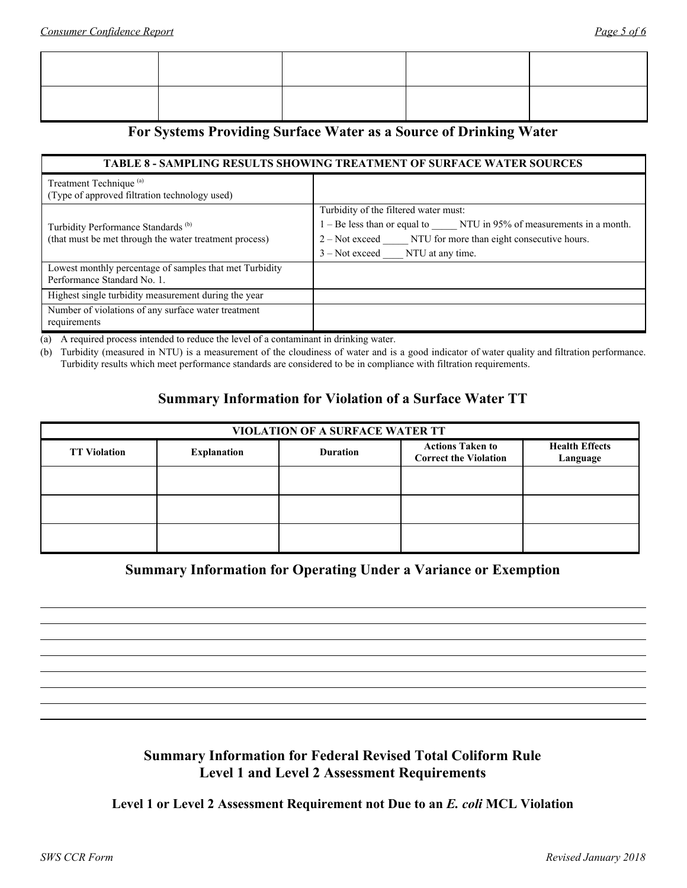## **For Systems Providing Surface Water as a Source of Drinking Water**

#### **TABLE 8 - SAMPLING RESULTS SHOWING TREATMENT OF SURFACE WATER SOURCES**

| Treatment Technique <sup>(a)</sup><br>(Type of approved filtration technology used) |                                                                     |
|-------------------------------------------------------------------------------------|---------------------------------------------------------------------|
|                                                                                     |                                                                     |
|                                                                                     | Turbidity of the filtered water must:                               |
| Turbidity Performance Standards <sup>(b)</sup>                                      | 1 – Be less than or equal to NTU in 95% of measurements in a month. |
| (that must be met through the water treatment process)                              | 2 – Not exceed NTU for more than eight consecutive hours.           |
|                                                                                     | $3 - Not exceed$ NTU at any time.                                   |
| Lowest monthly percentage of samples that met Turbidity                             |                                                                     |
| Performance Standard No. 1.                                                         |                                                                     |
| Highest single turbidity measurement during the year                                |                                                                     |
| Number of violations of any surface water treatment                                 |                                                                     |
| requirements                                                                        |                                                                     |

(a) A required process intended to reduce the level of a contaminant in drinking water.

(b) Turbidity (measured in NTU) is a measurement of the cloudiness of water and is a good indicator of water quality and filtration performance. Turbidity results which meet performance standards are considered to be in compliance with filtration requirements.

## **Summary Information for Violation of a Surface Water TT**

| <b>VIOLATION OF A SURFACE WATER TT</b> |                    |                 |                                                         |                                   |  |  |
|----------------------------------------|--------------------|-----------------|---------------------------------------------------------|-----------------------------------|--|--|
| <b>TT Violation</b>                    | <b>Explanation</b> | <b>Duration</b> | <b>Actions Taken to</b><br><b>Correct the Violation</b> | <b>Health Effects</b><br>Language |  |  |
|                                        |                    |                 |                                                         |                                   |  |  |
|                                        |                    |                 |                                                         |                                   |  |  |
|                                        |                    |                 |                                                         |                                   |  |  |

## **Summary Information for Operating Under a Variance or Exemption**

## **Summary Information for Federal Revised Total Coliform Rule Level 1 and Level 2 Assessment Requirements**

**Level 1 or Level 2 Assessment Requirement not Due to an** *E. coli* **MCL Violation**